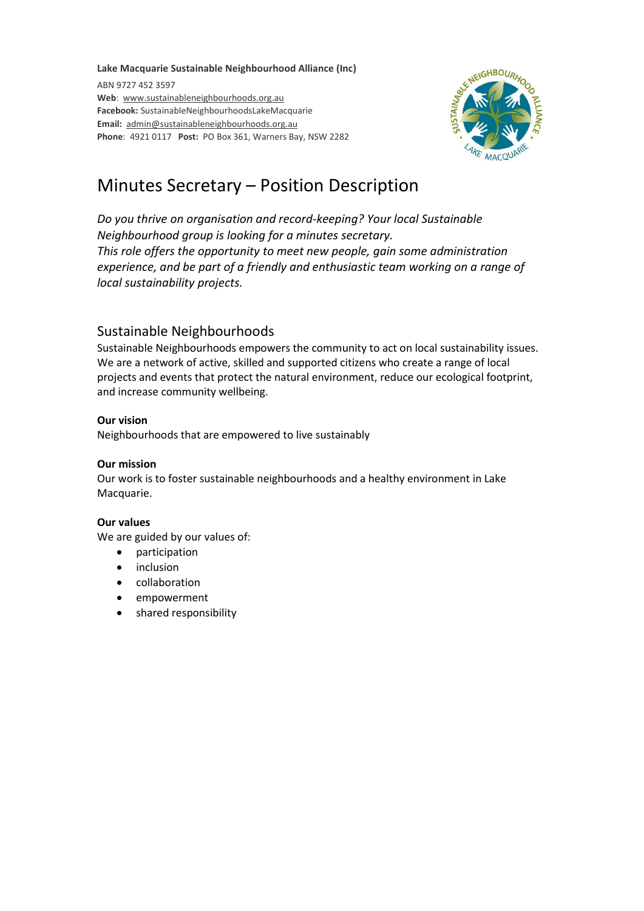#### Lake Macquarie Sustainable Neighbourhood Alliance (Inc)

ABN 9727 452 3597 Web: www.sustainableneighbourhoods.org.au Facebook: SustainableNeighbourhoodsLakeMacquarie Email: admin@sustainableneighbourhoods.org.au Phone: 4921 0117 Post: PO Box 361, Warners Bay, NSW 2282



# Minutes Secretary – Position Description

Do you thrive on organisation and record-keeping? Your local Sustainable Neighbourhood group is looking for a minutes secretary. This role offers the opportunity to meet new people, gain some administration experience, and be part of a friendly and enthusiastic team working on a range of local sustainability projects.

## Sustainable Neighbourhoods

Sustainable Neighbourhoods empowers the community to act on local sustainability issues. We are a network of active, skilled and supported citizens who create a range of local projects and events that protect the natural environment, reduce our ecological footprint, and increase community wellbeing.

### Our vision

Neighbourhoods that are empowered to live sustainably

### Our mission

Our work is to foster sustainable neighbourhoods and a healthy environment in Lake Macquarie.

#### Our values

We are guided by our values of:

- participation
- inclusion
- collaboration
- empowerment
- shared responsibility